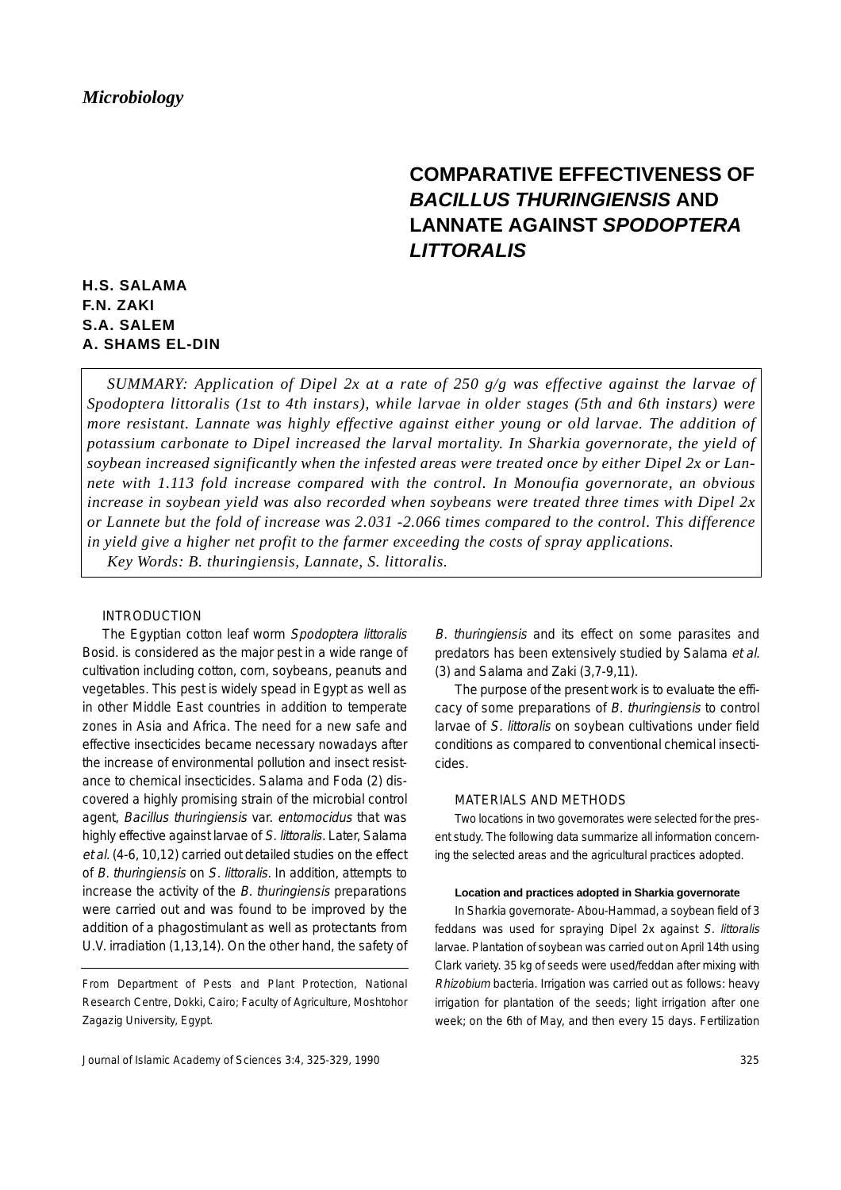# **COMPARATIVE EFFECTIVENESS OF** *BACILLUS THURINGIENSIS* **AND LANNATE AGAINST** *SPODOPTERA LITTORALIS*

# **H.S. SALAMA F.N. ZAKI S.A. SALEM A. SHAMS EL-DIN**

*SUMMARY: Application of Dipel 2x at a rate of 250 g/g was effective against the larvae of Spodoptera littoralis (1st to 4th instars), while larvae in older stages (5th and 6th instars) were more resistant. Lannate was highly effective against either young or old larvae. The addition of potassium carbonate to Dipel increased the larval mortality. In Sharkia governorate, the yield of soybean increased significantly when the infested areas were treated once by either Dipel 2x or Lannete with 1.113 fold increase compared with the control. In Monoufia governorate, an obvious increase in soybean yield was also recorded when soybeans were treated three times with Dipel 2x or Lannete but the fold of increase was 2.031 -2.066 times compared to the control. This difference in yield give a higher net profit to the farmer exceeding the costs of spray applications. Key Words: B. thuringiensis, Lannate, S. littoralis.*

### INTRODUCTION

The Egyptian cotton leaf worm Spodoptera littoralis Bosid. is considered as the major pest in a wide range of cultivation including cotton, corn, soybeans, peanuts and vegetables. This pest is widely spead in Egypt as well as in other Middle East countries in addition to temperate zones in Asia and Africa. The need for a new safe and effective insecticides became necessary nowadays after the increase of environmental pollution and insect resistance to chemical insecticides. Salama and Foda (2) discovered a highly promising strain of the microbial control agent, Bacillus thuringiensis var. entomocidus that was highly effective against larvae of S. littoralis. Later, Salama et al. (4-6, 10,12) carried out detailed studies on the effect of B. thuringiensis on S. littoralis. In addition, attempts to increase the activity of the B. thuringiensis preparations were carried out and was found to be improved by the addition of a phagostimulant as well as protectants from U.V. irradiation (1,13,14). On the other hand, the safety of

From Department of Pests and Plant Protection, National Research Centre, Dokki, Cairo; Faculty of Agriculture, Moshtohor Zagazig University, Egypt.

Journal of Islamic Academy of Sciences 3:4, 325-329, 1990

B. thuringiensis and its effect on some parasites and predators has been extensively studied by Salama et al. (3) and Salama and Zaki (3,7-9,11).

The purpose of the present work is to evaluate the efficacy of some preparations of B. thuringiensis to control larvae of S. littoralis on soybean cultivations under field conditions as compared to conventional chemical insecticides.

#### MATERIALS AND METHODS

Two locations in two governorates were selected for the present study. The following data summarize all information concerning the selected areas and the agricultural practices adopted.

#### **Location and practices adopted in Sharkia governorate**

In Sharkia governorate- Abou-Hammad, a soybean field of 3 feddans was used for spraying Dipel 2x against S. littoralis larvae. Plantation of soybean was carried out on April 14th using Clark variety. 35 kg of seeds were used/feddan after mixing with Rhizobium bacteria. Irrigation was carried out as follows: heavy irrigation for plantation of the seeds; light irrigation after one week; on the 6th of May, and then every 15 days. Fertilization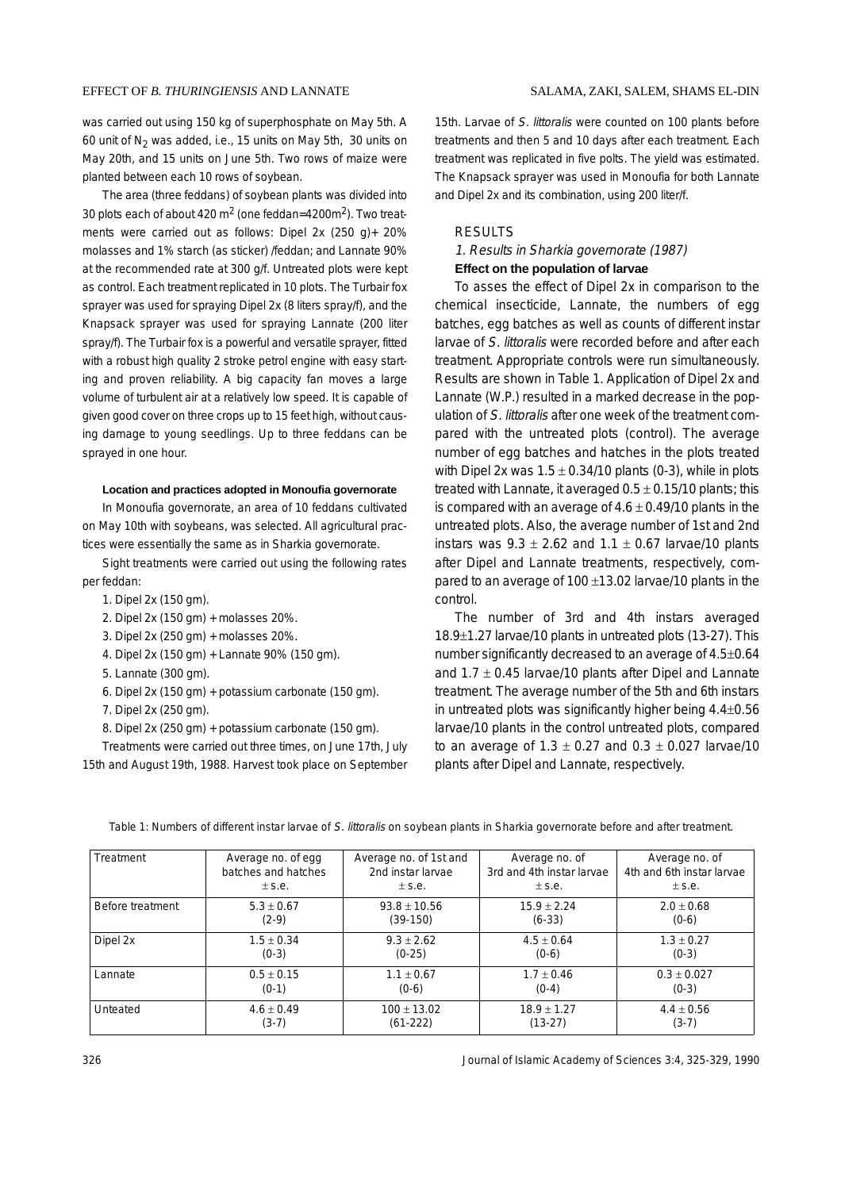was carried out using 150 kg of superphosphate on May 5th. A 60 unit of  $N_2$  was added, i.e., 15 units on May 5th, 30 units on May 20th, and 15 units on June 5th. Two rows of maize were planted between each 10 rows of soybean.

The area (three feddans) of soybean plants was divided into 30 plots each of about 420 m2 (one feddan=4200m2). Two treatments were carried out as follows: Dipel 2x (250 g)+ 20% molasses and 1% starch (as sticker) /feddan; and Lannate 90% at the recommended rate at 300 g/f. Untreated plots were kept as control. Each treatment replicated in 10 plots. The Turbair fox sprayer was used for spraying Dipel 2x (8 liters spray/f), and the Knapsack sprayer was used for spraying Lannate (200 liter spray/f). The Turbair fox is a powerful and versatile sprayer, fitted with a robust high quality 2 stroke petrol engine with easy starting and proven reliability. A big capacity fan moves a large volume of turbulent air at a relatively low speed. It is capable of given good cover on three crops up to 15 feet high, without causing damage to young seedlings. Up to three feddans can be sprayed in one hour.

#### **Location and practices adopted in Monoufia governorate**

In Monoufia governorate, an area of 10 feddans cultivated on May 10th with soybeans, was selected. All agricultural practices were essentially the same as in Sharkia governorate.

Sight treatments were carried out using the following rates per feddan:

- 1. Dipel 2x (150 gm).
- 2. Dipel 2x (150 gm) + molasses 20%.
- 3. Dipel 2x (250 gm) + molasses 20%.
- 4. Dipel 2x (150 gm) + Lannate 90% (150 gm).
- 5. Lannate (300 gm).
- 6. Dipel 2x (150 gm) + potassium carbonate (150 gm).
- 7. Dipel 2x (250 gm).
- 8. Dipel 2x (250 gm) + potassium carbonate (150 gm).

Treatments were carried out three times, on June 17th, July 15th and August 19th, 1988. Harvest took place on September 15th. Larvae of S. littoralis were counted on 100 plants before treatments and then 5 and 10 days after each treatment. Each treatment was replicated in five polts. The yield was estimated. The Knapsack sprayer was used in Monoufia for both Lannate and Dipel 2x and its combination, using 200 liter/f.

#### **RESULTS**

### 1. Results in Sharkia governorate (1987) **Effect on the population of larvae**

To asses the effect of Dipel 2x in comparison to the chemical insecticide, Lannate, the numbers of egg batches, egg batches as well as counts of different instar larvae of S. littoralis were recorded before and after each treatment. Appropriate controls were run simultaneously. Results are shown in Table 1. Application of Dipel 2x and Lannate (W.P.) resulted in a marked decrease in the population of S. littoralis after one week of the treatment compared with the untreated plots (control). The average number of egg batches and hatches in the plots treated with Dipel 2x was  $1.5 \pm 0.34/10$  plants (0-3), while in plots treated with Lannate, it averaged  $0.5 \pm 0.15/10$  plants; this is compared with an average of  $4.6 \pm 0.49/10$  plants in the untreated plots. Also, the average number of 1st and 2nd instars was  $9.3 \pm 2.62$  and  $1.1 \pm 0.67$  larvae/10 plants after Dipel and Lannate treatments, respectively, compared to an average of  $100 \pm 13.02$  larvae/10 plants in the control.

The number of 3rd and 4th instars averaged 18.9±1.27 larvae/10 plants in untreated plots (13-27). This number significantly decreased to an average of 4.5±0.64 and  $1.7 \pm 0.45$  larvae/10 plants after Dipel and Lannate treatment. The average number of the 5th and 6th instars in untreated plots was significantly higher being 4.4±0.56 larvae/10 plants in the control untreated plots, compared to an average of  $1.3 \pm 0.27$  and  $0.3 \pm 0.027$  larvae/10 plants after Dipel and Lannate, respectively.

| Treatment        | Average no. of egg  | Average no. of 1st and | Average no. of            | Average no. of            |
|------------------|---------------------|------------------------|---------------------------|---------------------------|
|                  | batches and hatches | 2nd instar larvae      | 3rd and 4th instar larvae | 4th and 6th instar larvae |
|                  | $±$ s.e.            | $±$ S.e.               | $±$ s.e.                  | $±$ s.e.                  |
| Before treatment | $5.3 + 0.67$        | $93.8 + 10.56$         | $15.9 + 2.24$             | $2.0 + 0.68$              |
|                  | $(2-9)$             | $(39-150)$             | $(6-33)$                  | $(0-6)$                   |
| Dipel 2x         | $1.5 + 0.34$        | $9.3 + 2.62$           | $4.5 + 0.64$              | $1.3 + 0.27$              |
|                  | $(0-3)$             | $(0-25)$               | $(0-6)$                   | $(0-3)$                   |
| Lannate          | $0.5 + 0.15$        | $1.1 + 0.67$           | $1.7 + 0.46$              | $0.3 + 0.027$             |
|                  | $(0-1)$             | $(0-6)$                | $(0-4)$                   | $(0-3)$                   |
| Unteated         | $4.6 + 0.49$        | $100 + 13.02$          | $18.9 + 1.27$             | $4.4 \pm 0.56$            |
|                  | $(3-7)$             | $(61-222)$             | $(13-27)$                 | $(3-7)$                   |

Table 1: Numbers of different instar larvae of S. littoralis on soybean plants in Sharkia governorate before and after treatment.

326 Journal of Islamic Academy of Sciences 3:4, 325-329, 1990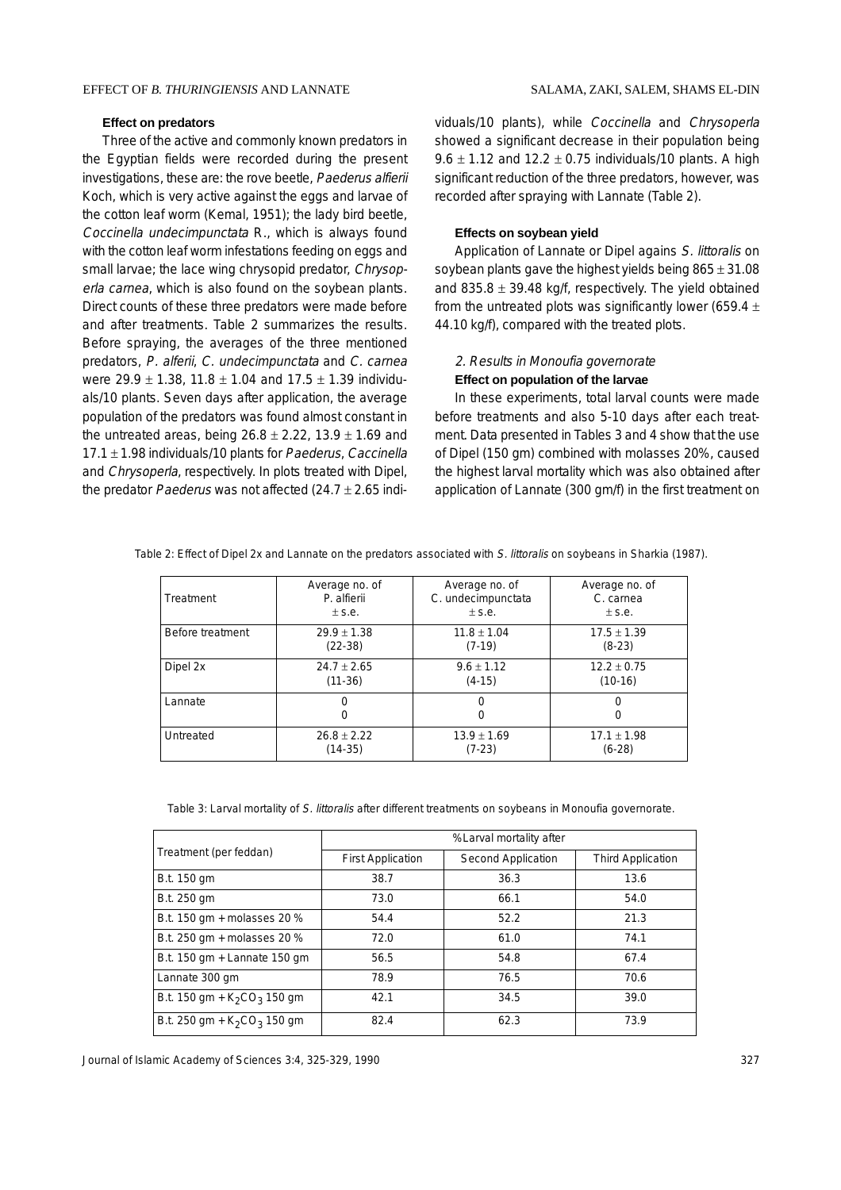#### **Effect on predators**

Three of the active and commonly known predators in the Egyptian fields were recorded during the present investigations, these are: the rove beetle, Paederus alfierii Koch, which is very active against the eggs and larvae of the cotton leaf worm (Kemal, 1951); the lady bird beetle, Coccinella undecimpunctata R., which is always found with the cotton leaf worm infestations feeding on eggs and small larvae; the lace wing chrysopid predator, Chrysoperla carnea, which is also found on the soybean plants. Direct counts of these three predators were made before and after treatments. Table 2 summarizes the results. Before spraying, the averages of the three mentioned predators, P. alferii, C. undecimpunctata and C. carnea were  $29.9 \pm 1.38$ , 11.8  $\pm$  1.04 and 17.5  $\pm$  1.39 individuals/10 plants. Seven days after application, the average population of the predators was found almost constant in the untreated areas, being  $26.8 \pm 2.22$ ,  $13.9 \pm 1.69$  and  $17.1 \pm 1.98$  individuals/10 plants for Paederus, Caccinella and Chrysoperla, respectively. In plots treated with Dipel, the predator *Paederus* was not affected  $(24.7 \pm 2.65$  individuals/10 plants), while Coccinella and Chrysoperla showed a significant decrease in their population being 9.6  $\pm$  1.12 and 12.2  $\pm$  0.75 individuals/10 plants. A high significant reduction of the three predators, however, was recorded after spraying with Lannate (Table 2).

#### **Effects on soybean yield**

Application of Lannate or Dipel agains S. littoralis on soybean plants gave the highest yields being  $865 \pm 31.08$ and 835.8  $\pm$  39.48 kg/f, respectively. The yield obtained from the untreated plots was significantly lower (659.4  $\pm$ 44.10 kg/f), compared with the treated plots.

## 2. Results in Monoufia governorate **Effect on population of the larvae**

In these experiments, total larval counts were made before treatments and also 5-10 days after each treatment. Data presented in Tables 3 and 4 show that the use of Dipel (150 gm) combined with molasses 20%, caused the highest larval mortality which was also obtained after application of Lannate (300 gm/f) in the first treatment on

| Treatment        | Average no. of | Average no. of     | Average no. of  |
|------------------|----------------|--------------------|-----------------|
|                  | P. alfierii    | C. undecimpunctata | C. carnea       |
|                  | $±$ s.e.       | $+$ s.e.           | $±$ s.e.        |
| Before treatment | $29.9 + 1.38$  | $11.8 \pm 1.04$    | $17.5 \pm 1.39$ |
|                  | $(22-38)$      | $(7-19)$           | $(8-23)$        |
| Dipel 2x         | $24.7 + 2.65$  | $9.6 \pm 1.12$     | $12.2 \pm 0.75$ |
|                  | $(11-36)$      | $(4-15)$           | $(10-16)$       |
| Lannate          | 0<br>O         |                    | $\Omega$<br>O   |
| Untreated        | $26.8 + 2.22$  | $13.9 \pm 1.69$    | $17.1 \pm 1.98$ |
|                  | $(14-35)$      | $(7-23)$           | $(6-28)$        |

Table 2: Effect of Dipel 2x and Lannate on the predators associated with S. littoralis on soybeans in Sharkia (1987).

Table 3: Larval mortality of S. littoralis after different treatments on soybeans in Monoufia governorate.

|                                | %Larval mortality after  |                           |                          |  |  |  |
|--------------------------------|--------------------------|---------------------------|--------------------------|--|--|--|
| Treatment (per feddan)         | <b>First Application</b> | <b>Second Application</b> | <b>Third Application</b> |  |  |  |
| B.t. 150 gm                    | 38.7                     | 36.3                      | 13.6                     |  |  |  |
| B.t. 250 gm                    | 73.0                     | 66.1                      | 54.0                     |  |  |  |
| B.t. 150 gm + molasses 20 %    | 54.4                     | 52.2                      | 21.3                     |  |  |  |
| B.t. 250 gm + molasses 20 %    | 72.0                     | 61.0                      | 74.1                     |  |  |  |
| B.t. 150 gm + Lannate 150 gm   | 56.5                     | 54.8                      | 67.4                     |  |  |  |
| Lannate 300 gm                 | 78.9                     | 76.5                      | 70.6                     |  |  |  |
| B.t. 150 gm + $K_2CO_3$ 150 gm | 42.1                     |                           | 39.0                     |  |  |  |
| B.t. 250 gm + $K_2CO_3$ 150 gm | 82.4                     | 62.3                      | 73.9                     |  |  |  |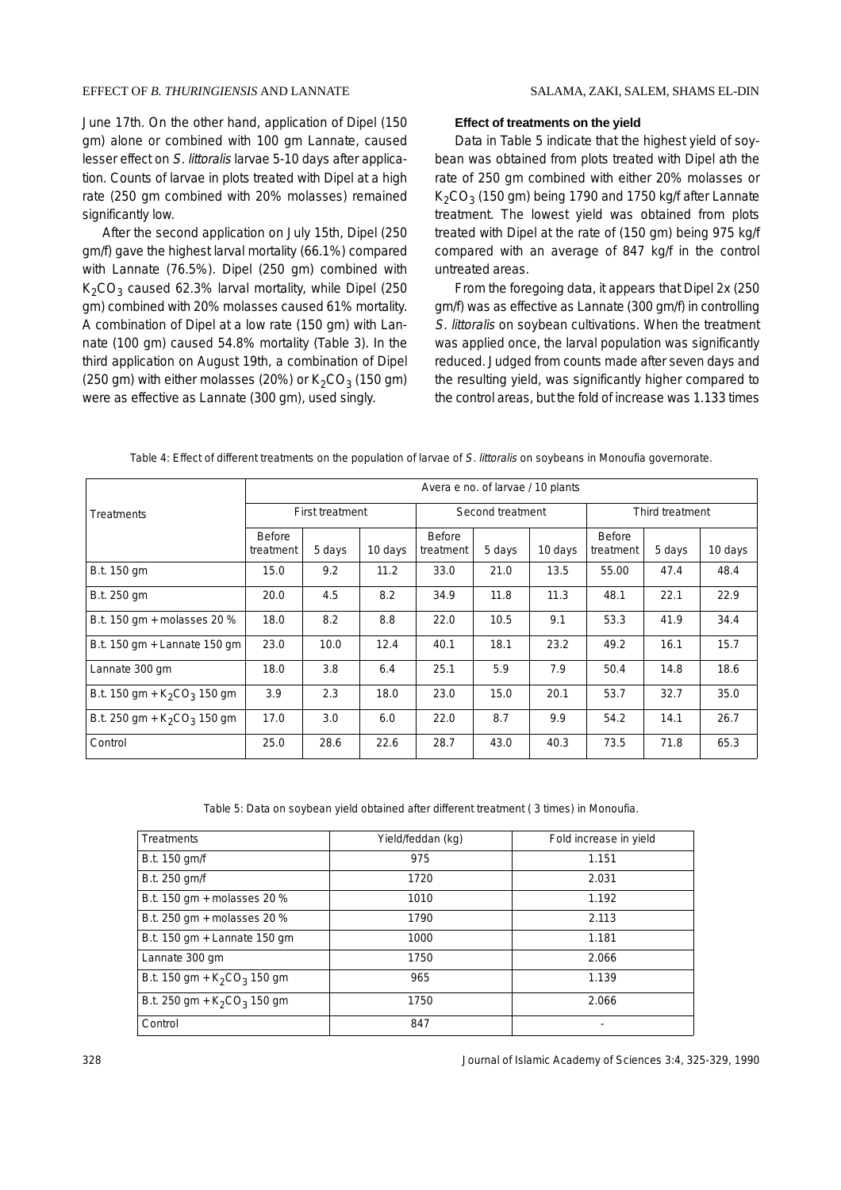June 17th. On the other hand, application of Dipel (150 gm) alone or combined with 100 gm Lannate, caused lesser effect on S. littoralis larvae 5-10 days after application. Counts of larvae in plots treated with Dipel at a high rate (250 gm combined with 20% molasses) remained significantly low.

After the second application on July 15th, Dipel (250 gm/f) gave the highest larval mortality (66.1%) compared with Lannate (76.5%). Dipel (250 gm) combined with  $K<sub>2</sub>CO<sub>3</sub>$  caused 62.3% larval mortality, while Dipel (250) gm) combined with 20% molasses caused 61% mortality. A combination of Dipel at a low rate (150 gm) with Lannate (100 gm) caused 54.8% mortality (Table 3). In the third application on August 19th, a combination of Dipel (250 gm) with either molasses (20%) or  $K<sub>2</sub>CO<sub>3</sub>$  (150 gm) were as effective as Lannate (300 gm), used singly.

#### **Effect of treatments on the yield**

Data in Table 5 indicate that the highest yield of soybean was obtained from plots treated with Dipel ath the rate of 250 gm combined with either 20% molasses or  $K<sub>2</sub>CO<sub>3</sub>$  (150 gm) being 1790 and 1750 kg/f after Lannate treatment. The lowest yield was obtained from plots treated with Dipel at the rate of (150 gm) being 975 kg/f compared with an average of 847 kg/f in the control untreated areas.

From the foregoing data, it appears that Dipel 2x (250 gm/f) was as effective as Lannate (300 gm/f) in controlling S. littoralis on soybean cultivations. When the treatment was applied once, the larval population was significantly reduced. Judged from counts made after seven days and the resulting yield, was significantly higher compared to the control areas, but the fold of increase was 1.133 times

|                                | Avera e no. of larvae / 10 plants |        |                  |                     |                 |         |                            |        |         |
|--------------------------------|-----------------------------------|--------|------------------|---------------------|-----------------|---------|----------------------------|--------|---------|
| <b>Treatments</b>              | <b>First treatment</b>            |        | Second treatment |                     | Third treatment |         |                            |        |         |
|                                | Before<br>treatment               | 5 days | 10 days          | Before<br>treatment | 5 days          | 10 days | <b>Before</b><br>treatment | 5 days | 10 days |
| B.t. 150 gm                    | 15.0                              | 9.2    | 11.2             | 33.0                | 21.0            | 13.5    | 55.00                      | 47.4   | 48.4    |
| B.t. 250 gm                    | 20.0                              | 4.5    | 8.2              | 34.9                | 11.8            | 11.3    | 48.1                       | 22.1   | 22.9    |
| B.t. 150 gm + molasses 20 %    | 18.0                              | 8.2    | 8.8              | 22.0                | 10.5            | 9.1     | 53.3                       | 41.9   | 34.4    |
| B.t. 150 gm + Lannate 150 gm   | 23.0                              | 10.0   | 12.4             | 40.1                | 18.1            | 23.2    | 49.2                       | 16.1   | 15.7    |
| Lannate 300 gm                 | 18.0                              | 3.8    | 6.4              | 25.1                | 5.9             | 7.9     | 50.4                       | 14.8   | 18.6    |
| B.t. 150 gm + $K_2CO_3$ 150 gm | 3.9                               | 2.3    | 18.0             | 23.0                | 15.0            | 20.1    | 53.7                       | 32.7   | 35.0    |
| B.t. 250 gm + $K_2CO_3$ 150 gm | 17.0                              | 3.0    | 6.0              | 22.0                | 8.7             | 9.9     | 54.2                       | 14.1   | 26.7    |
| Control                        | 25.0                              | 28.6   | 22.6             | 28.7                | 43.0            | 40.3    | 73.5                       | 71.8   | 65.3    |

Table 4: Effect of different treatments on the population of larvae of S. littoralis on soybeans in Monoufia governorate.

Table 5: Data on soybean yield obtained after different treatment ( 3 times) in Monoufia.

| <b>Treatments</b>              | Yield/feddan (kg) | Fold increase in yield |
|--------------------------------|-------------------|------------------------|
| B.t. 150 gm/f                  | 975               | 1.151                  |
| B.t. 250 gm/f                  | 1720              | 2.031                  |
| B.t. 150 gm + molasses 20 %    | 1010              | 1.192                  |
| B.t. 250 gm + molasses 20 %    | 1790              | 2.113                  |
| B.t. 150 gm + Lannate 150 gm   | 1000              | 1.181                  |
| Lannate 300 gm                 | 1750              | 2.066                  |
| B.t. 150 gm + $K_2CO_3$ 150 gm | 965               | 1.139                  |
| B.t. 250 gm + $K_2CO_3$ 150 gm | 1750              | 2.066                  |
| Control                        | 847               | -                      |

328 Journal of Islamic Academy of Sciences 3:4, 325-329, 1990